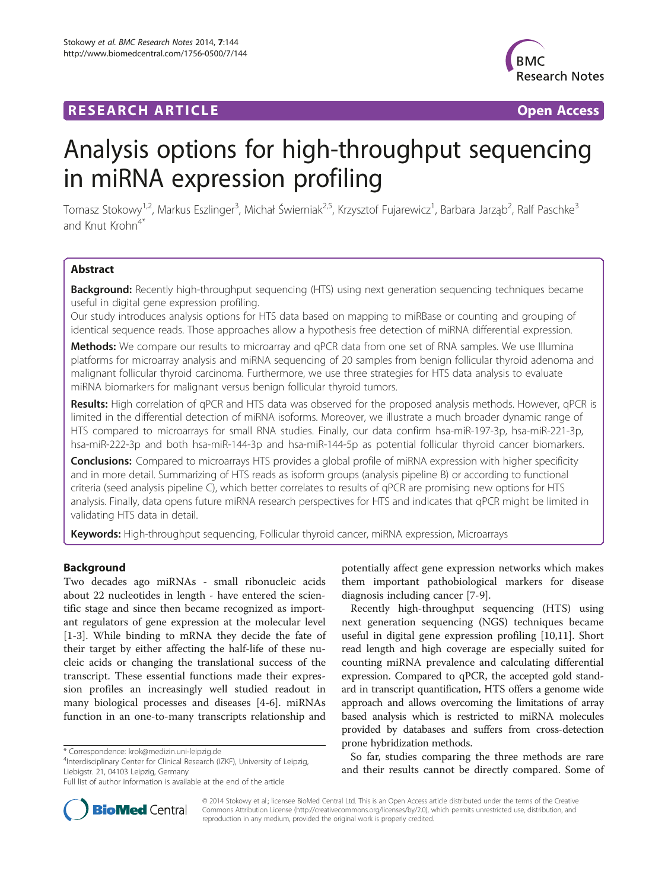# **RESEARCH ARTICLE Example 2018 CONSIDERING CONSIDERING CONSIDERING CONSIDERING CONSIDERING CONSIDERING CONSIDERING CONSIDERING CONSIDERING CONSIDERING CONSIDERING CONSIDERING CONSIDERING CONSIDERING CONSIDERING CONSIDE**



# Analysis options for high-throughput sequencing in miRNA expression profiling

Tomasz Stokowy<sup>1,2</sup>, Markus Eszlinger<sup>3</sup>, Michał Świerniak<sup>2,5</sup>, Krzysztof Fujarewicz<sup>1</sup>, Barbara Jarząb<sup>2</sup>, Ralf Paschke<sup>3</sup> and Knut Krohn<sup>4</sup>

# Abstract

Background: Recently high-throughput sequencing (HTS) using next generation sequencing techniques became useful in digital gene expression profiling.

Our study introduces analysis options for HTS data based on mapping to miRBase or counting and grouping of identical sequence reads. Those approaches allow a hypothesis free detection of miRNA differential expression.

Methods: We compare our results to microarray and qPCR data from one set of RNA samples. We use Illumina platforms for microarray analysis and miRNA sequencing of 20 samples from benign follicular thyroid adenoma and malignant follicular thyroid carcinoma. Furthermore, we use three strategies for HTS data analysis to evaluate miRNA biomarkers for malignant versus benign follicular thyroid tumors.

Results: High correlation of qPCR and HTS data was observed for the proposed analysis methods. However, qPCR is limited in the differential detection of miRNA isoforms. Moreover, we illustrate a much broader dynamic range of HTS compared to microarrays for small RNA studies. Finally, our data confirm hsa-miR-197-3p, hsa-miR-221-3p, hsa-miR-222-3p and both hsa-miR-144-3p and hsa-miR-144-5p as potential follicular thyroid cancer biomarkers.

**Conclusions:** Compared to microarrays HTS provides a global profile of miRNA expression with higher specificity and in more detail. Summarizing of HTS reads as isoform groups (analysis pipeline B) or according to functional criteria (seed analysis pipeline C), which better correlates to results of qPCR are promising new options for HTS analysis. Finally, data opens future miRNA research perspectives for HTS and indicates that qPCR might be limited in validating HTS data in detail.

Keywords: High-throughput sequencing, Follicular thyroid cancer, miRNA expression, Microarrays

## Background

Two decades ago miRNAs - small ribonucleic acids about 22 nucleotides in length - have entered the scientific stage and since then became recognized as important regulators of gene expression at the molecular level [[1-3](#page-10-0)]. While binding to mRNA they decide the fate of their target by either affecting the half-life of these nucleic acids or changing the translational success of the transcript. These essential functions made their expression profiles an increasingly well studied readout in many biological processes and diseases [[4-6](#page-10-0)]. miRNAs function in an one-to-many transcripts relationship and

<sup>4</sup>Interdisciplinary Center for Clinical Research (IZKF), University of Leipzig, Liebigstr. 21, 04103 Leipzig, Germany

potentially affect gene expression networks which makes them important pathobiological markers for disease diagnosis including cancer [\[7-9](#page-10-0)].

Recently high-throughput sequencing (HTS) using next generation sequencing (NGS) techniques became useful in digital gene expression profiling [\[10,11](#page-10-0)]. Short read length and high coverage are especially suited for counting miRNA prevalence and calculating differential expression. Compared to qPCR, the accepted gold standard in transcript quantification, HTS offers a genome wide approach and allows overcoming the limitations of array based analysis which is restricted to miRNA molecules provided by databases and suffers from cross-detection prone hybridization methods.

So far, studies comparing the three methods are rare and their results cannot be directly compared. Some of



© 2014 Stokowy et al.; licensee BioMed Central Ltd. This is an Open Access article distributed under the terms of the Creative Commons Attribution License [\(http://creativecommons.org/licenses/by/2.0\)](http://creativecommons.org/licenses/by/2.0), which permits unrestricted use, distribution, and reproduction in any medium, provided the original work is properly credited.

<sup>\*</sup> Correspondence: [krok@medizin.uni-leipzig.de](mailto:krok@medizin.uni-leipzig.de) <sup>4</sup>

Full list of author information is available at the end of the article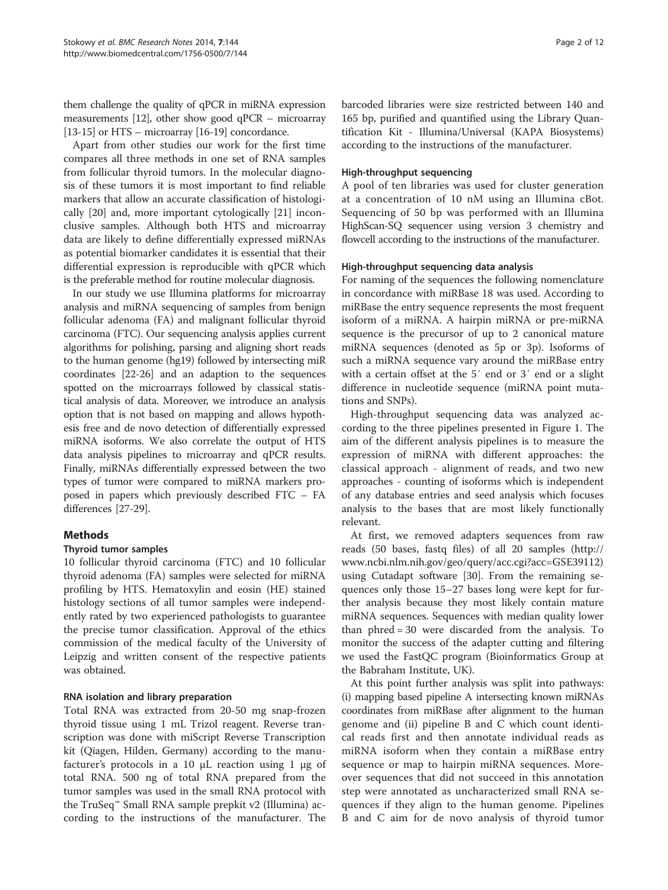them challenge the quality of qPCR in miRNA expression measurements [\[12](#page-10-0)], other show good qPCR – microarray [[13](#page-10-0)-[15](#page-10-0)] or HTS – microarray [\[16-19\]](#page-10-0) concordance.

Apart from other studies our work for the first time compares all three methods in one set of RNA samples from follicular thyroid tumors. In the molecular diagnosis of these tumors it is most important to find reliable markers that allow an accurate classification of histologically [\[20\]](#page-10-0) and, more important cytologically [\[21](#page-10-0)] inconclusive samples. Although both HTS and microarray data are likely to define differentially expressed miRNAs as potential biomarker candidates it is essential that their differential expression is reproducible with qPCR which is the preferable method for routine molecular diagnosis.

In our study we use Illumina platforms for microarray analysis and miRNA sequencing of samples from benign follicular adenoma (FA) and malignant follicular thyroid carcinoma (FTC). Our sequencing analysis applies current algorithms for polishing, parsing and aligning short reads to the human genome (hg19) followed by intersecting miR coordinates [\[22](#page-10-0)-[26](#page-10-0)] and an adaption to the sequences spotted on the microarrays followed by classical statistical analysis of data. Moreover, we introduce an analysis option that is not based on mapping and allows hypothesis free and de novo detection of differentially expressed miRNA isoforms. We also correlate the output of HTS data analysis pipelines to microarray and qPCR results. Finally, miRNAs differentially expressed between the two types of tumor were compared to miRNA markers proposed in papers which previously described FTC – FA differences [\[27-](#page-10-0)[29\]](#page-11-0).

# Methods

## Thyroid tumor samples

10 follicular thyroid carcinoma (FTC) and 10 follicular thyroid adenoma (FA) samples were selected for miRNA profiling by HTS. Hematoxylin and eosin (HE) stained histology sections of all tumor samples were independently rated by two experienced pathologists to guarantee the precise tumor classification. Approval of the ethics commission of the medical faculty of the University of Leipzig and written consent of the respective patients was obtained.

## RNA isolation and library preparation

Total RNA was extracted from 20-50 mg snap-frozen thyroid tissue using 1 mL Trizol reagent. Reverse transcription was done with miScript Reverse Transcription kit (Qiagen, Hilden, Germany) according to the manufacturer's protocols in a 10 μL reaction using 1 μg of total RNA. 500 ng of total RNA prepared from the tumor samples was used in the small RNA protocol with the TruSeq™ Small RNA sample prepkit v2 (Illumina) according to the instructions of the manufacturer. The

barcoded libraries were size restricted between 140 and 165 bp, purified and quantified using the Library Quantification Kit - Illumina/Universal (KAPA Biosystems) according to the instructions of the manufacturer.

#### High-throughput sequencing

A pool of ten libraries was used for cluster generation at a concentration of 10 nM using an Illumina cBot. Sequencing of 50 bp was performed with an Illumina HighScan-SQ sequencer using version 3 chemistry and flowcell according to the instructions of the manufacturer.

#### High-throughput sequencing data analysis

For naming of the sequences the following nomenclature in concordance with miRBase 18 was used. According to miRBase the entry sequence represents the most frequent isoform of a miRNA. A hairpin miRNA or pre-miRNA sequence is the precursor of up to 2 canonical mature miRNA sequences (denoted as 5p or 3p). Isoforms of such a miRNA sequence vary around the miRBase entry with a certain offset at the 5′ end or 3′ end or a slight difference in nucleotide sequence (miRNA point mutations and SNPs).

High-throughput sequencing data was analyzed according to the three pipelines presented in Figure [1](#page-2-0). The aim of the different analysis pipelines is to measure the expression of miRNA with different approaches: the classical approach - alignment of reads, and two new approaches - counting of isoforms which is independent of any database entries and seed analysis which focuses analysis to the bases that are most likely functionally relevant.

At first, we removed adapters sequences from raw reads (50 bases, fastq files) of all 20 samples [\(http://](http://www.ncbi.nlm.nih.gov/geo/query/acc.cgi?acc=GSE39112) [www.ncbi.nlm.nih.gov/geo/query/acc.cgi?acc=GSE39112](http://www.ncbi.nlm.nih.gov/geo/query/acc.cgi?acc=GSE39112)) using Cutadapt software [\[30\]](#page-11-0). From the remaining sequences only those 15–27 bases long were kept for further analysis because they most likely contain mature miRNA sequences. Sequences with median quality lower than phred = 30 were discarded from the analysis. To monitor the success of the adapter cutting and filtering we used the FastQC program (Bioinformatics Group at the Babraham Institute, UK).

At this point further analysis was split into pathways: (i) mapping based pipeline A intersecting known miRNAs coordinates from miRBase after alignment to the human genome and (ii) pipeline B and C which count identical reads first and then annotate individual reads as miRNA isoform when they contain a miRBase entry sequence or map to hairpin miRNA sequences. Moreover sequences that did not succeed in this annotation step were annotated as uncharacterized small RNA sequences if they align to the human genome. Pipelines B and C aim for de novo analysis of thyroid tumor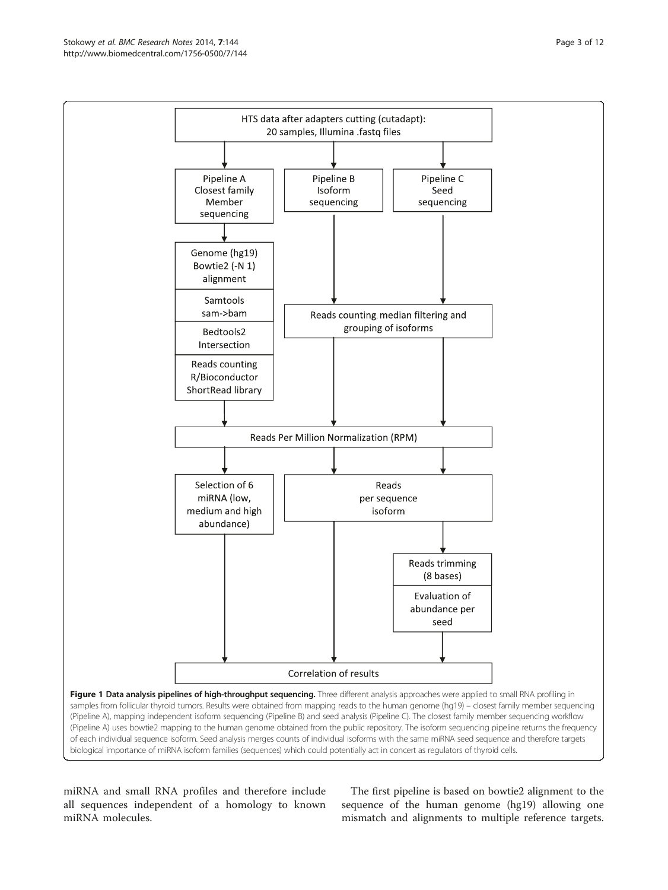<span id="page-2-0"></span>

miRNA and small RNA profiles and therefore include all sequences independent of a homology to known miRNA molecules.

The first pipeline is based on bowtie2 alignment to the sequence of the human genome (hg19) allowing one mismatch and alignments to multiple reference targets.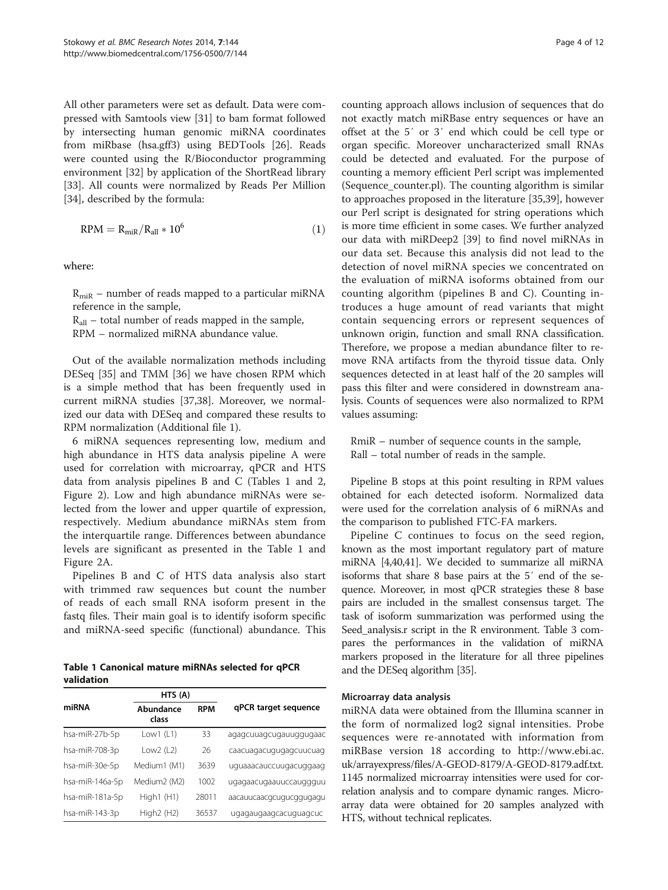<span id="page-3-0"></span>All other parameters were set as default. Data were compressed with Samtools view [[31\]](#page-11-0) to bam format followed by intersecting human genomic miRNA coordinates from miRbase (hsa.gff3) using BEDTools [\[26](#page-10-0)]. Reads were counted using the R/Bioconductor programming environment [\[32](#page-11-0)] by application of the ShortRead library [[33\]](#page-11-0). All counts were normalized by Reads Per Million [[34\]](#page-11-0), described by the formula:

$$
RPM = R_{\text{miR}}/R_{\text{all}} \times 10^6 \tag{1}
$$

where:

 $R_{\text{mix}}$  – number of reads mapped to a particular miRNA reference in the sample,

 $R_{all}$  – total number of reads mapped in the sample, RPM – normalized miRNA abundance value.

Out of the available normalization methods including DESeq [[35\]](#page-11-0) and TMM [[36\]](#page-11-0) we have chosen RPM which is a simple method that has been frequently used in current miRNA studies [[37](#page-11-0),[38](#page-11-0)]. Moreover, we normalized our data with DESeq and compared these results to RPM normalization (Additional file [1\)](#page-9-0).

6 miRNA sequences representing low, medium and high abundance in HTS data analysis pipeline A were used for correlation with microarray, qPCR and HTS data from analysis pipelines B and C (Tables 1 and [2](#page-4-0), Figure [2](#page-4-0)). Low and high abundance miRNAs were selected from the lower and upper quartile of expression, respectively. Medium abundance miRNAs stem from the interquartile range. Differences between abundance levels are significant as presented in the Table 1 and Figure [2A](#page-4-0).

Pipelines B and C of HTS data analysis also start with trimmed raw sequences but count the number of reads of each small RNA isoform present in the fastq files. Their main goal is to identify isoform specific and miRNA-seed specific (functional) abundance. This

Table 1 Canonical mature miRNAs selected for qPCR validation

|                 | HTS (A)                  |            |                         |  |
|-----------------|--------------------------|------------|-------------------------|--|
| miRNA           | Abundance<br>class       | <b>RPM</b> | qPCR target sequence    |  |
| hsa-miR-27b-5p  | Low1 $(L1)$              | 33         | agagcuuagcugauuggugaac  |  |
| hsa-miR-708-3p  | Low $2(L2)$              | 26         | caacuagacugugagcuucuag  |  |
| hsa-miR-30e-5p  | Medium1 (M1)             | 3639       | uguaaacauccuugacuggaag  |  |
| hsa-miR-146a-5p | Medium <sub>2</sub> (M2) | 1002       | ugagaacugaauuccauggguu  |  |
| hsa-miR-181a-5p | High $1$ (H $1$ )        | 28011      | aacauucaacgcugucggugagu |  |
| hsa-miR-143-3p  | High $2$ (H $2$ )        | 36537      | ugagaugaagcacuguagcuc   |  |

counting approach allows inclusion of sequences that do not exactly match miRBase entry sequences or have an offset at the 5′ or 3′ end which could be cell type or organ specific. Moreover uncharacterized small RNAs could be detected and evaluated. For the purpose of counting a memory efficient Perl script was implemented (Sequence\_counter.pl). The counting algorithm is similar to approaches proposed in the literature [\[35,39](#page-11-0)], however our Perl script is designated for string operations which is more time efficient in some cases. We further analyzed our data with miRDeep2 [\[39\]](#page-11-0) to find novel miRNAs in our data set. Because this analysis did not lead to the detection of novel miRNA species we concentrated on the evaluation of miRNA isoforms obtained from our counting algorithm (pipelines B and C). Counting introduces a huge amount of read variants that might contain sequencing errors or represent sequences of unknown origin, function and small RNA classification. Therefore, we propose a median abundance filter to remove RNA artifacts from the thyroid tissue data. Only sequences detected in at least half of the 20 samples will pass this filter and were considered in downstream analysis. Counts of sequences were also normalized to RPM values assuming:

RmiR – number of sequence counts in the sample, Rall – total number of reads in the sample.

Pipeline B stops at this point resulting in RPM values obtained for each detected isoform. Normalized data were used for the correlation analysis of 6 miRNAs and the comparison to published FTC-FA markers.

Pipeline C continues to focus on the seed region, known as the most important regulatory part of mature miRNA [[4,](#page-10-0)[40,41\]](#page-11-0). We decided to summarize all miRNA isoforms that share 8 base pairs at the 5′ end of the sequence. Moreover, in most qPCR strategies these 8 base pairs are included in the smallest consensus target. The task of isoform summarization was performed using the Seed\_analysis.r script in the R environment. Table [3](#page-5-0) compares the performances in the validation of miRNA markers proposed in the literature for all three pipelines and the DESeq algorithm [\[35\]](#page-11-0).

#### Microarray data analysis

miRNA data were obtained from the Illumina scanner in the form of normalized log2 signal intensities. Probe sequences were re-annotated with information from miRBase version 18 according to [http://www.ebi.ac.](http://www.ebi.ac.uk/arrayexpress/files/A-GEOD-8179/A-GEOD-8179.adf.txt) [uk/arrayexpress/files/A-GEOD-8179/A-GEOD-8179.adf.txt](http://www.ebi.ac.uk/arrayexpress/files/A-GEOD-8179/A-GEOD-8179.adf.txt). 1145 normalized microarray intensities were used for correlation analysis and to compare dynamic ranges. Microarray data were obtained for 20 samples analyzed with HTS, without technical replicates.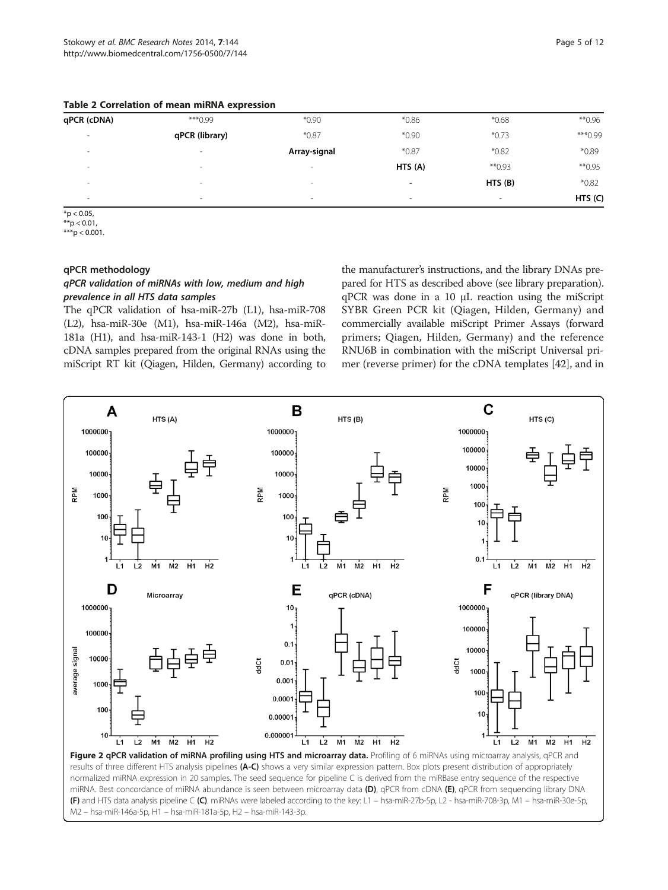| qPCR (cDNA) | ***0.99                  | $*0.90$                  | $*0.86$                  | $*0.68$                  | $*$ 0.96 |
|-------------|--------------------------|--------------------------|--------------------------|--------------------------|----------|
| $\,$        | qPCR (library)           | $*0.87$                  | $*0.90$                  | $*0.73$                  | *** 0.99 |
| $\,$        | $\,$                     | Array-signal             | $*0.87$                  | $*0.82$                  | $*0.89$  |
| $\sim$      | $\sim$                   | $\sim$                   | HTS(A)                   | $*$ 0.93                 | $*$ 0.95 |
| $\,$        | $\overline{\phantom{a}}$ | $\overline{\phantom{a}}$ | -                        | HTS(B)                   | $*0.82$  |
| $\sim$      | $\sim$                   | $\overline{\phantom{a}}$ | $\overline{\phantom{a}}$ | $\overline{\phantom{a}}$ | HTS(G)   |
|             |                          |                          |                          |                          |          |

<span id="page-4-0"></span>Table 2 Correlation of mean miRNA expression

 $*_{p < 0.05}$ 

 $**$ p  $< 0.01$ . \*\*\*p < 0.001.

#### qPCR methodology

#### qPCR validation of miRNAs with low, medium and high prevalence in all HTS data samples

The qPCR validation of hsa-miR-27b (L1), hsa-miR-708 (L2), hsa-miR-30e (M1), hsa-miR-146a (M2), hsa-miR-181a (H1), and hsa-miR-143-1 (H2) was done in both, cDNA samples prepared from the original RNAs using the miScript RT kit (Qiagen, Hilden, Germany) according to

the manufacturer's instructions, and the library DNAs prepared for HTS as described above (see library preparation). qPCR was done in a 10 μL reaction using the miScript SYBR Green PCR kit (Qiagen, Hilden, Germany) and commercially available miScript Primer Assays (forward primers; Qiagen, Hilden, Germany) and the reference RNU6B in combination with the miScript Universal primer (reverse primer) for the cDNA templates [\[42\]](#page-11-0), and in

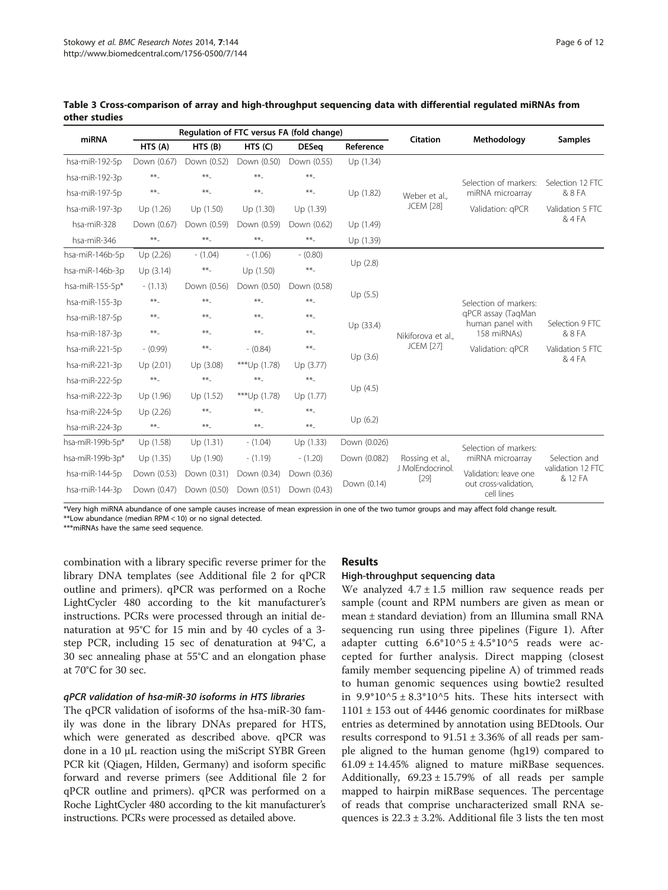| miRNA            | Regulation of FTC versus FA (fold change) |             |              |              | Citation     |                                               |                                        |                              |
|------------------|-------------------------------------------|-------------|--------------|--------------|--------------|-----------------------------------------------|----------------------------------------|------------------------------|
|                  | HTS (A)                                   | HTS(B)      | HTS(C)       | <b>DESeq</b> | Reference    |                                               | Methodology                            | <b>Samples</b>               |
| hsa-miR-192-5p   | Down (0.67)                               | Down (0.52) | Down (0.50)  | Down (0.55)  | Up (1.34)    |                                               |                                        |                              |
| hsa-miR-192-3p   | $**$                                      | $**$        | $**$         | $**$         |              |                                               | Selection of markers:                  | Selection 12 FTC             |
| hsa-miR-197-5p   | $**$                                      | $***$       | $**$         | $***$        | Up (1.82)    | Weber et al<br><b>JCEM [28]</b>               | miRNA microarray                       | & 8 FA                       |
| hsa-miR-197-3p   | Up (1.26)                                 | Up(1.50)    | Up (1.30)    | Up (1.39)    |              |                                               | Validation: gPCR                       | Validation 5 FTC             |
| hsa-miR-328      | Down (0.67)                               | Down (0.59) | Down (0.59)  | Down (0.62)  | Up (1.49)    |                                               |                                        | & 4 FA                       |
| hsa-miR-346      | $**$                                      | $**_-$      | $**_-$       | $***$        | Up (1.39)    |                                               |                                        |                              |
| hsa-miR-146b-5p  | Up (2.26)                                 | $- (1.04)$  | $- (1.06)$   | $- (0.80)$   | Up(2.8)      | Nikiforova et al.<br><b>JCEM</b> [27]         |                                        |                              |
| hsa-miR-146b-3p  | Up(3.14)                                  | $**_-$      | Up (1.50)    | $**_-$       |              |                                               |                                        |                              |
| hsa-miR-155-5p*  | $-(1.13)$                                 | Down (0.56) | Down (0.50)  | Down (0.58)  |              |                                               |                                        |                              |
| hsa-miR-155-3p   | $**$                                      | $**$        | $**$         | $***$        | Up(5.5)      |                                               | Selection of markers:                  |                              |
| hsa-miR-187-5p   | $**$                                      | $**$        | $**$         | $***$        |              |                                               | qPCR assay (TaqMan<br>human panel with | Selection 9 FTC              |
| hsa-miR-187-3p   | $**$                                      | $**_-$      | $**$         | $***$        | Up (33.4)    |                                               | 158 miRNAs)                            | & 8 FA                       |
| hsa-miR-221-5p   | $-$ (0.99)                                | $**_-$      | $- (0.84)$   | $***$        |              |                                               | Validation: gPCR                       | Validation 5 FTC             |
| hsa-miR-221-3p   | Up(2.01)                                  | Up (3.08)   | ***Up (1.78) | Up (3.77)    | Up(3.6)      |                                               |                                        | & 4 FA                       |
| hsa-miR-222-5p   | $**$                                      | $**$        | $**_-$       | $**_-$       | Up(4.5)      |                                               |                                        |                              |
| hsa-miR-222-3p   | Up (1.96)                                 | Up (1.52)   | ***Up (1.78) | Up (1.77)    |              |                                               |                                        |                              |
| hsa-miR-224-5p   | Up (2.26)                                 | $**$        | $**_-$       | $***$        | Up(6.2)      |                                               |                                        |                              |
| hsa-miR-224-3p   | $**_$                                     | $**_-$      | $**$         | $**$         |              |                                               |                                        |                              |
| hsa-miR-199b-5p* | Up (1.58)                                 | Up (1.31)   | $- (1.04)$   | Up (1.33)    | Down (0.026) | Rossing et al.,<br>J MolEndocrinol.<br>$[29]$ | Selection of markers:                  | Selection and                |
| hsa-miR-199b-3p* | Up (1.35)                                 | Up (1.90)   | $- (1.19)$   | $- (1.20)$   | Down (0.082) |                                               | miRNA microarray                       |                              |
| hsa-miR-144-5p   | Down (0.53)                               | Down (0.31) | Down (0.34)  | Down (0.36)  |              |                                               | Validation: leave one                  | validation 12 FTC<br>& 12 FA |
| hsa-miR-144-3p   | Down (0.47)                               | Down (0.50) | Down (0.51)  | Down (0.43)  | Down (0.14)  |                                               | out cross-validation,<br>cell lines    |                              |

<span id="page-5-0"></span>Table 3 Cross-comparison of array and high-throughput sequencing data with differential regulated miRNAs from other studies

\*Very high miRNA abundance of one sample causes increase of mean expression in one of the two tumor groups and may affect fold change result. \*\*Low abundance (median RPM < 10) or no signal detected.

\*\*\*miRNAs have the same seed sequence.

combination with a library specific reverse primer for the library DNA templates (see Additional file [2](#page-9-0) for qPCR outline and primers). qPCR was performed on a Roche LightCycler 480 according to the kit manufacturer's instructions. PCRs were processed through an initial denaturation at 95°C for 15 min and by 40 cycles of a 3 step PCR, including 15 sec of denaturation at 94°C, a 30 sec annealing phase at 55°C and an elongation phase at 70°C for 30 sec.

#### qPCR validation of hsa-miR-30 isoforms in HTS libraries

The qPCR validation of isoforms of the hsa-miR-30 family was done in the library DNAs prepared for HTS, which were generated as described above. qPCR was done in a 10 μL reaction using the miScript SYBR Green PCR kit (Qiagen, Hilden, Germany) and isoform specific forward and reverse primers (see Additional file [2](#page-9-0) for qPCR outline and primers). qPCR was performed on a Roche LightCycler 480 according to the kit manufacturer's instructions. PCRs were processed as detailed above.

## Results

#### High-throughput sequencing data

We analyzed  $4.7 \pm 1.5$  million raw sequence reads per sample (count and RPM numbers are given as mean or mean ± standard deviation) from an Illumina small RNA sequencing run using three pipelines (Figure [1](#page-2-0)). After adapter cutting  $6.6*10^{3} \pm 4.5*10^{3}$  reads were accepted for further analysis. Direct mapping (closest family member sequencing pipeline A) of trimmed reads to human genomic sequences using bowtie2 resulted in  $9.9*10^{3} \pm 8.3*10^{3}$  hits. These hits intersect with  $1101 \pm 153$  out of 4446 genomic coordinates for miRbase entries as determined by annotation using BEDtools. Our results correspond to  $91.51 \pm 3.36\%$  of all reads per sample aligned to the human genome (hg19) compared to  $61.09 \pm 14.45\%$  aligned to mature miRBase sequences. Additionally,  $69.23 \pm 15.79\%$  of all reads per sample mapped to hairpin miRBase sequences. The percentage of reads that comprise uncharacterized small RNA sequences is  $22.3 \pm 3.2$  $22.3 \pm 3.2$  $22.3 \pm 3.2$ %. Additional file 3 lists the ten most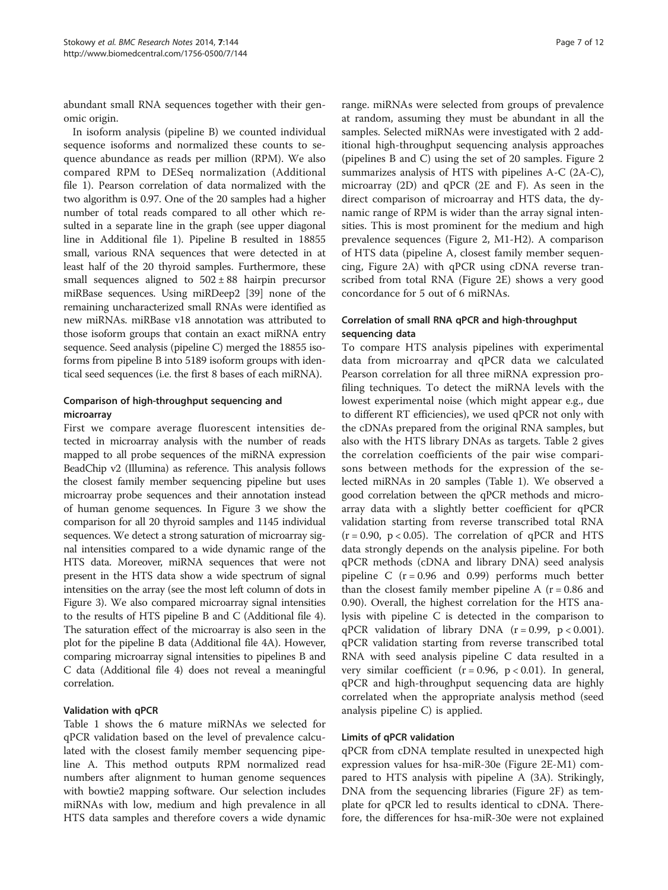abundant small RNA sequences together with their genomic origin.

In isoform analysis (pipeline B) we counted individual sequence isoforms and normalized these counts to sequence abundance as reads per million (RPM). We also compared RPM to DESeq normalization (Additional file [1](#page-9-0)). Pearson correlation of data normalized with the two algorithm is 0.97. One of the 20 samples had a higher number of total reads compared to all other which resulted in a separate line in the graph (see upper diagonal line in Additional file [1\)](#page-9-0). Pipeline B resulted in 18855 small, various RNA sequences that were detected in at least half of the 20 thyroid samples. Furthermore, these small sequences aligned to  $502 \pm 88$  hairpin precursor miRBase sequences. Using miRDeep2 [\[39\]](#page-11-0) none of the remaining uncharacterized small RNAs were identified as new miRNAs. miRBase v18 annotation was attributed to those isoform groups that contain an exact miRNA entry sequence. Seed analysis (pipeline C) merged the 18855 isoforms from pipeline B into 5189 isoform groups with identical seed sequences (i.e. the first 8 bases of each miRNA).

## Comparison of high-throughput sequencing and microarray

First we compare average fluorescent intensities detected in microarray analysis with the number of reads mapped to all probe sequences of the miRNA expression BeadChip v2 (Illumina) as reference. This analysis follows the closest family member sequencing pipeline but uses microarray probe sequences and their annotation instead of human genome sequences. In Figure [3](#page-7-0) we show the comparison for all 20 thyroid samples and 1145 individual sequences. We detect a strong saturation of microarray signal intensities compared to a wide dynamic range of the HTS data. Moreover, miRNA sequences that were not present in the HTS data show a wide spectrum of signal intensities on the array (see the most left column of dots in Figure [3\)](#page-7-0). We also compared microarray signal intensities to the results of HTS pipeline B and C (Additional file [4](#page-9-0)). The saturation effect of the microarray is also seen in the plot for the pipeline B data (Additional file [4](#page-9-0)A). However, comparing microarray signal intensities to pipelines B and C data (Additional file [4](#page-9-0)) does not reveal a meaningful correlation.

## Validation with qPCR

Table [1](#page-3-0) shows the 6 mature miRNAs we selected for qPCR validation based on the level of prevalence calculated with the closest family member sequencing pipeline A. This method outputs RPM normalized read numbers after alignment to human genome sequences with bowtie2 mapping software. Our selection includes miRNAs with low, medium and high prevalence in all HTS data samples and therefore covers a wide dynamic

range. miRNAs were selected from groups of prevalence at random, assuming they must be abundant in all the samples. Selected miRNAs were investigated with 2 additional high-throughput sequencing analysis approaches (pipelines B and C) using the set of 20 samples. Figure [2](#page-4-0) summarizes analysis of HTS with pipelines A-C (2A-C), microarray (2D) and qPCR (2E and F). As seen in the direct comparison of microarray and HTS data, the dynamic range of RPM is wider than the array signal intensities. This is most prominent for the medium and high prevalence sequences (Figure [2,](#page-4-0) M1-H2). A comparison of HTS data (pipeline A, closest family member sequencing, Figure [2A](#page-4-0)) with qPCR using cDNA reverse transcribed from total RNA (Figure [2](#page-4-0)E) shows a very good concordance for 5 out of 6 miRNAs.

# Correlation of small RNA qPCR and high-throughput sequencing data

To compare HTS analysis pipelines with experimental data from microarray and qPCR data we calculated Pearson correlation for all three miRNA expression profiling techniques. To detect the miRNA levels with the lowest experimental noise (which might appear e.g., due to different RT efficiencies), we used qPCR not only with the cDNAs prepared from the original RNA samples, but also with the HTS library DNAs as targets. Table [2](#page-4-0) gives the correlation coefficients of the pair wise comparisons between methods for the expression of the selected miRNAs in 20 samples (Table [1\)](#page-3-0). We observed a good correlation between the qPCR methods and microarray data with a slightly better coefficient for qPCR validation starting from reverse transcribed total RNA  $(r = 0.90, p < 0.05)$ . The correlation of qPCR and HTS data strongly depends on the analysis pipeline. For both qPCR methods (cDNA and library DNA) seed analysis pipeline C  $(r = 0.96$  and 0.99) performs much better than the closest family member pipeline A  $(r = 0.86$  and 0.90). Overall, the highest correlation for the HTS analysis with pipeline C is detected in the comparison to qPCR validation of library DNA  $(r = 0.99, p < 0.001)$ . qPCR validation starting from reverse transcribed total RNA with seed analysis pipeline C data resulted in a very similar coefficient  $(r = 0.96, p < 0.01)$ . In general, qPCR and high-throughput sequencing data are highly correlated when the appropriate analysis method (seed analysis pipeline C) is applied.

## Limits of qPCR validation

qPCR from cDNA template resulted in unexpected high expression values for hsa-miR-30e (Figure [2E](#page-4-0)-M1) compared to HTS analysis with pipeline A (3A). Strikingly, DNA from the sequencing libraries (Figure [2F](#page-4-0)) as template for qPCR led to results identical to cDNA. Therefore, the differences for hsa-miR-30e were not explained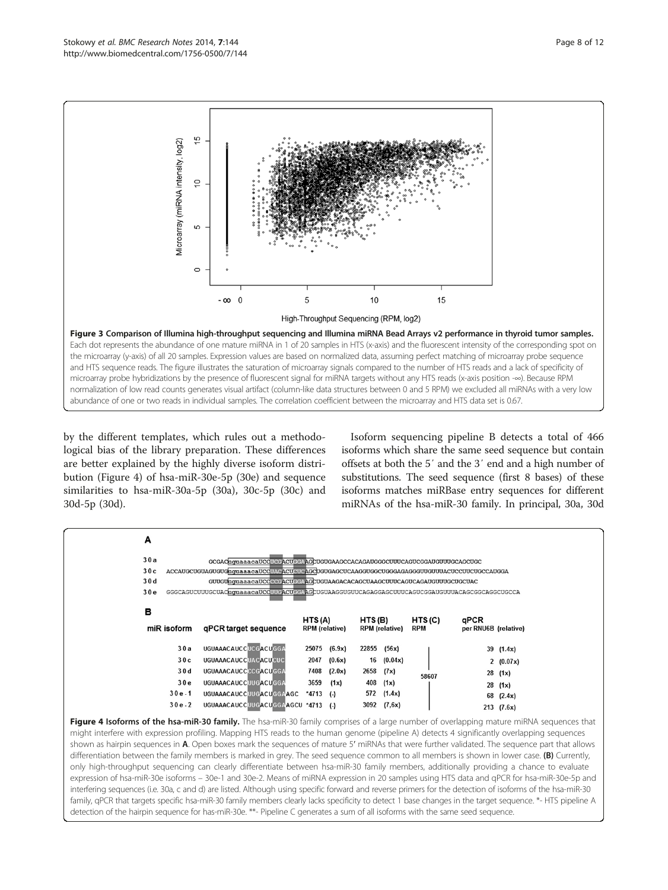<span id="page-7-0"></span>

by the different templates, which rules out a methodological bias of the library preparation. These differences are better explained by the highly diverse isoform distribution (Figure 4) of hsa-miR-30e-5p (30e) and sequence similarities to hsa-miR-30a-5p (30a), 30c-5p (30c) and 30d-5p (30d).

Isoform sequencing pipeline B detects a total of 466 isoforms which share the same seed sequence but contain offsets at both the 5′ and the 3′ end and a high number of substitutions. The seed sequence (first 8 bases) of these isoforms matches miRBase entry sequences for different miRNAs of the hsa-miR-30 family. In principal, 30a, 30d

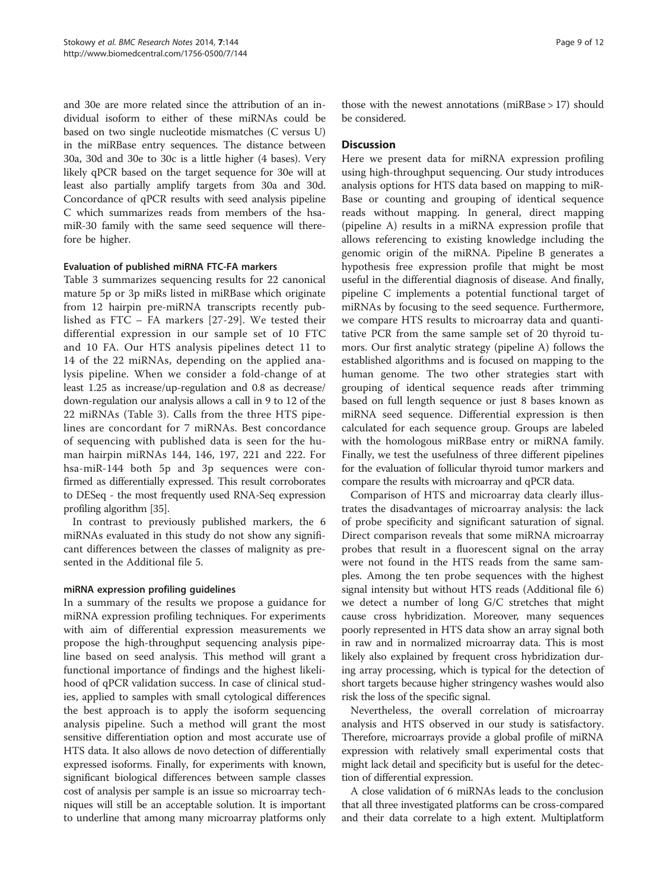and 30e are more related since the attribution of an individual isoform to either of these miRNAs could be based on two single nucleotide mismatches (C versus U) in the miRBase entry sequences. The distance between 30a, 30d and 30e to 30c is a little higher (4 bases). Very likely qPCR based on the target sequence for 30e will at least also partially amplify targets from 30a and 30d. Concordance of qPCR results with seed analysis pipeline C which summarizes reads from members of the hsamiR-30 family with the same seed sequence will therefore be higher.

#### Evaluation of published miRNA FTC-FA markers

Table [3](#page-5-0) summarizes sequencing results for 22 canonical mature 5p or 3p miRs listed in miRBase which originate from 12 hairpin pre-miRNA transcripts recently published as FTC – FA markers [[27](#page-10-0)-[29](#page-11-0)]. We tested their differential expression in our sample set of 10 FTC and 10 FA. Our HTS analysis pipelines detect 11 to 14 of the 22 miRNAs, depending on the applied analysis pipeline. When we consider a fold-change of at least 1.25 as increase/up-regulation and 0.8 as decrease/ down-regulation our analysis allows a call in 9 to 12 of the 22 miRNAs (Table [3](#page-5-0)). Calls from the three HTS pipelines are concordant for 7 miRNAs. Best concordance of sequencing with published data is seen for the human hairpin miRNAs 144, 146, 197, 221 and 222. For hsa-miR-144 both 5p and 3p sequences were confirmed as differentially expressed. This result corroborates to DESeq - the most frequently used RNA-Seq expression profiling algorithm [[35](#page-11-0)].

In contrast to previously published markers, the 6 miRNAs evaluated in this study do not show any significant differences between the classes of malignity as presented in the Additional file [5](#page-9-0).

#### miRNA expression profiling guidelines

In a summary of the results we propose a guidance for miRNA expression profiling techniques. For experiments with aim of differential expression measurements we propose the high-throughput sequencing analysis pipeline based on seed analysis. This method will grant a functional importance of findings and the highest likelihood of qPCR validation success. In case of clinical studies, applied to samples with small cytological differences the best approach is to apply the isoform sequencing analysis pipeline. Such a method will grant the most sensitive differentiation option and most accurate use of HTS data. It also allows de novo detection of differentially expressed isoforms. Finally, for experiments with known, significant biological differences between sample classes cost of analysis per sample is an issue so microarray techniques will still be an acceptable solution. It is important to underline that among many microarray platforms only

those with the newest annotations (miRBase > 17) should be considered.

#### **Discussion**

Here we present data for miRNA expression profiling using high-throughput sequencing. Our study introduces analysis options for HTS data based on mapping to miR-Base or counting and grouping of identical sequence reads without mapping. In general, direct mapping (pipeline A) results in a miRNA expression profile that allows referencing to existing knowledge including the genomic origin of the miRNA. Pipeline B generates a hypothesis free expression profile that might be most useful in the differential diagnosis of disease. And finally, pipeline C implements a potential functional target of miRNAs by focusing to the seed sequence. Furthermore, we compare HTS results to microarray data and quantitative PCR from the same sample set of 20 thyroid tumors. Our first analytic strategy (pipeline A) follows the established algorithms and is focused on mapping to the human genome. The two other strategies start with grouping of identical sequence reads after trimming based on full length sequence or just 8 bases known as miRNA seed sequence. Differential expression is then calculated for each sequence group. Groups are labeled with the homologous miRBase entry or miRNA family. Finally, we test the usefulness of three different pipelines for the evaluation of follicular thyroid tumor markers and compare the results with microarray and qPCR data.

Comparison of HTS and microarray data clearly illustrates the disadvantages of microarray analysis: the lack of probe specificity and significant saturation of signal. Direct comparison reveals that some miRNA microarray probes that result in a fluorescent signal on the array were not found in the HTS reads from the same samples. Among the ten probe sequences with the highest signal intensity but without HTS reads (Additional file [6](#page-10-0)) we detect a number of long G/C stretches that might cause cross hybridization. Moreover, many sequences poorly represented in HTS data show an array signal both in raw and in normalized microarray data. This is most likely also explained by frequent cross hybridization during array processing, which is typical for the detection of short targets because higher stringency washes would also risk the loss of the specific signal.

Nevertheless, the overall correlation of microarray analysis and HTS observed in our study is satisfactory. Therefore, microarrays provide a global profile of miRNA expression with relatively small experimental costs that might lack detail and specificity but is useful for the detection of differential expression.

A close validation of 6 miRNAs leads to the conclusion that all three investigated platforms can be cross-compared and their data correlate to a high extent. Multiplatform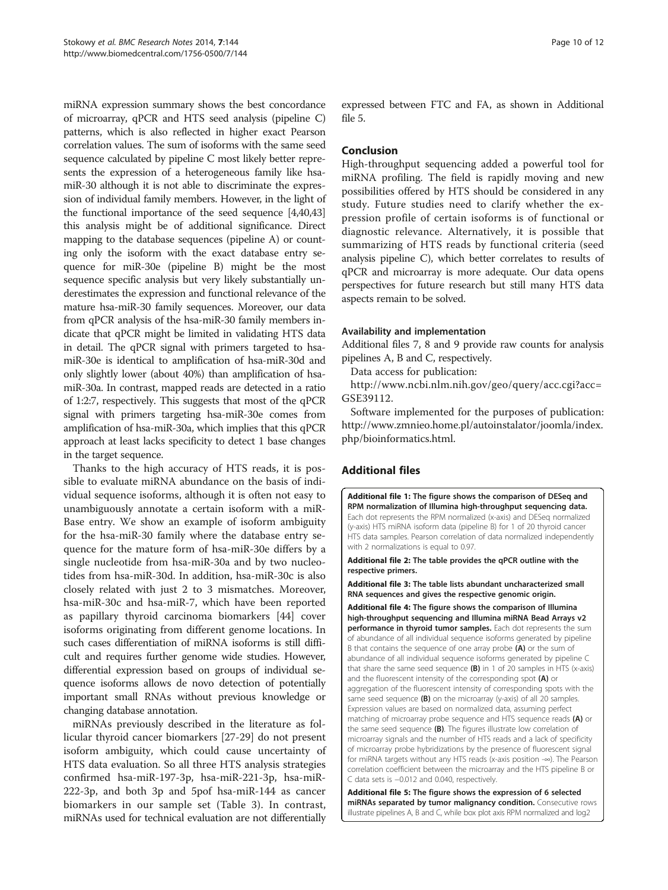<span id="page-9-0"></span>miRNA expression summary shows the best concordance of microarray, qPCR and HTS seed analysis (pipeline C) patterns, which is also reflected in higher exact Pearson correlation values. The sum of isoforms with the same seed sequence calculated by pipeline C most likely better represents the expression of a heterogeneous family like hsamiR-30 although it is not able to discriminate the expression of individual family members. However, in the light of the functional importance of the seed sequence [[4](#page-10-0)[,40,43](#page-11-0)] this analysis might be of additional significance. Direct mapping to the database sequences (pipeline A) or counting only the isoform with the exact database entry sequence for miR-30e (pipeline B) might be the most sequence specific analysis but very likely substantially underestimates the expression and functional relevance of the mature hsa-miR-30 family sequences. Moreover, our data from qPCR analysis of the hsa-miR-30 family members indicate that qPCR might be limited in validating HTS data in detail. The qPCR signal with primers targeted to hsamiR-30e is identical to amplification of hsa-miR-30d and only slightly lower (about 40%) than amplification of hsamiR-30a. In contrast, mapped reads are detected in a ratio of 1:2:7, respectively. This suggests that most of the qPCR signal with primers targeting hsa-miR-30e comes from amplification of hsa-miR-30a, which implies that this qPCR approach at least lacks specificity to detect 1 base changes in the target sequence.

Thanks to the high accuracy of HTS reads, it is possible to evaluate miRNA abundance on the basis of individual sequence isoforms, although it is often not easy to unambiguously annotate a certain isoform with a miR-Base entry. We show an example of isoform ambiguity for the hsa-miR-30 family where the database entry sequence for the mature form of hsa-miR-30e differs by a single nucleotide from hsa-miR-30a and by two nucleotides from hsa-miR-30d. In addition, hsa-miR-30c is also closely related with just 2 to 3 mismatches. Moreover, hsa-miR-30c and hsa-miR-7, which have been reported as papillary thyroid carcinoma biomarkers [[44\]](#page-11-0) cover isoforms originating from different genome locations. In such cases differentiation of miRNA isoforms is still difficult and requires further genome wide studies. However, differential expression based on groups of individual sequence isoforms allows de novo detection of potentially important small RNAs without previous knowledge or changing database annotation.

miRNAs previously described in the literature as follicular thyroid cancer biomarkers [\[27](#page-10-0)-[29\]](#page-11-0) do not present isoform ambiguity, which could cause uncertainty of HTS data evaluation. So all three HTS analysis strategies confirmed hsa-miR-197-3p, hsa-miR-221-3p, hsa-miR-222-3p, and both 3p and 5pof hsa-miR-144 as cancer biomarkers in our sample set (Table [3](#page-5-0)). In contrast, miRNAs used for technical evaluation are not differentially

expressed between FTC and FA, as shown in Additional file 5.

# Conclusion

High-throughput sequencing added a powerful tool for miRNA profiling. The field is rapidly moving and new possibilities offered by HTS should be considered in any study. Future studies need to clarify whether the expression profile of certain isoforms is of functional or diagnostic relevance. Alternatively, it is possible that summarizing of HTS reads by functional criteria (seed analysis pipeline C), which better correlates to results of qPCR and microarray is more adequate. Our data opens perspectives for future research but still many HTS data aspects remain to be solved.

#### Availability and implementation

Additional files [7](#page-10-0), [8](#page-10-0) and [9](#page-10-0) provide raw counts for analysis pipelines A, B and C, respectively.

Data access for publication:

[http://www.ncbi.nlm.nih.gov/geo/query/acc.cgi?acc=](http://www.ncbi.nlm.nih.gov/geo/query/acc.cgi?acc=GSE39112) [GSE39112.](http://www.ncbi.nlm.nih.gov/geo/query/acc.cgi?acc=GSE39112)

Software implemented for the purposes of publication: [http://www.zmnieo.home.pl/autoinstalator/joomla/index.](http://www.zmnieo.home.pl/autoinstalator/joomla/index.php/bioinformatics.html) [php/bioinformatics.html](http://www.zmnieo.home.pl/autoinstalator/joomla/index.php/bioinformatics.html).

# Additional files

[Additional file 1:](http://www.biomedcentral.com/content/supplementary/1756-0500-7-144-S1.pdf) The figure shows the comparison of DESeq and RPM normalization of Illumina high-throughput sequencing data. Each dot represents the RPM normalized (x-axis) and DESeq normalized (y-axis) HTS miRNA isoform data (pipeline B) for 1 of 20 thyroid cancer HTS data samples. Pearson correlation of data normalized independently with 2 normalizations is equal to 0.97.

[Additional file 2:](http://www.biomedcentral.com/content/supplementary/1756-0500-7-144-S2.pdf) The table provides the qPCR outline with the respective primers.

[Additional file 3:](http://www.biomedcentral.com/content/supplementary/1756-0500-7-144-S3.pdf) The table lists abundant uncharacterized small RNA sequences and gives the respective genomic origin.

[Additional file 4:](http://www.biomedcentral.com/content/supplementary/1756-0500-7-144-S4.pdf) The figure shows the comparison of Illumina high-throughput sequencing and Illumina miRNA Bead Arrays v2 performance in thyroid tumor samples. Each dot represents the sum of abundance of all individual sequence isoforms generated by pipeline B that contains the sequence of one array probe (A) or the sum of abundance of all individual sequence isoforms generated by pipeline C that share the same seed sequence  $(B)$  in 1 of 20 samples in HTS (x-axis) and the fluorescent intensity of the corresponding spot (A) or aggregation of the fluorescent intensity of corresponding spots with the same seed sequence (B) on the microarray (y-axis) of all 20 samples. Expression values are based on normalized data, assuming perfect matching of microarray probe sequence and HTS sequence reads (A) or the same seed sequence (B). The figures illustrate low correlation of microarray signals and the number of HTS reads and a lack of specificity of microarray probe hybridizations by the presence of fluorescent signal for miRNA targets without any HTS reads (x-axis position -∞). The Pearson correlation coefficient between the microarray and the HTS pipeline B or C data sets is −0.012 and 0.040, respectively.

[Additional file 5:](http://www.biomedcentral.com/content/supplementary/1756-0500-7-144-S5.pdf) The figure shows the expression of 6 selected miRNAs separated by tumor malignancy condition. Consecutive rows illustrate pipelines A, B and C, while box plot axis RPM normalized and log2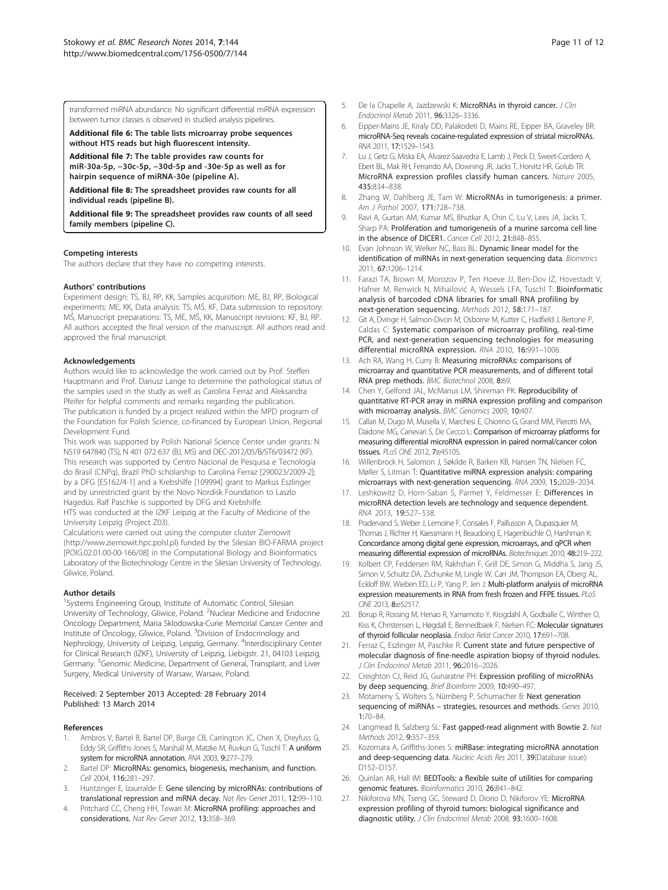<span id="page-10-0"></span>transformed miRNA abundance. No significant differential miRNA expression between tumor classes is observed in studied analysis pipelines.

[Additional file 6:](http://www.biomedcentral.com/content/supplementary/1756-0500-7-144-S6.pdf) The table lists microarray probe sequences without HTS reads but high fluorescent intensity.

[Additional file 7:](http://www.biomedcentral.com/content/supplementary/1756-0500-7-144-S7.pdf) The table provides raw counts for miR-30a-5p, −30c-5p, −30d-5p and -30e-5p as well as for hairpin sequence of miRNA-30e (pipeline A).

[Additional file 8:](http://www.biomedcentral.com/content/supplementary/1756-0500-7-144-S8.xlsx) The spreadsheet provides raw counts for all individual reads (pipeline B).

[Additional file 9:](http://www.biomedcentral.com/content/supplementary/1756-0500-7-144-S9.xlsx) The spreadsheet provides raw counts of all seed family members (pipeline C).

#### Competing interests

The authors declare that they have no competing interests.

#### Authors' contributions

Experiment design: TS, BJ, RP, KK, Samples acquisition: ME, BJ, RP, Biological experiments: ME, KK, Data analysis: TS, MŚ, KF, Data submission to repository: MŚ, Manuscript preparations: TS, ME, MŚ, KK, Manuscript revisions: KF, BJ, RP. All authors accepted the final version of the manuscript. All authors read and approved the final manuscript.

#### Acknowledgements

Authors would like to acknowledge the work carried out by Prof. Steffen Hauptmann and Prof. Dariusz Lange to determine the pathological status of the samples used in the study as well as Carolina Ferraz and Aleksandra Pfeifer for helpful comments and remarks regarding the publication. The publication is funded by a project realized within the MPD program of the Foundation for Polish Science, co-financed by European Union, Regional Development Fund.

This work was supported by Polish National Science Center under grants: N N519 647840 (TS), N 401 072 637 (BJ, MS) and DEC-2012/05/B/ST6/03472 (KF). This research was supported by Centro Nacional de Pesquisa e Tecnologia do Brasil (CNPq), Brazil PhD scholarship to Carolina Ferraz [290023/2009-2]; by a DFG [ES162/4-1] and a Krebshilfe [109994] grant to Markus Eszlinger and by unrestricted grant by the Novo Nordisk Foundation to Laszlo Hagedüs. Ralf Paschke is supported by DFG and Krebshilfe.

HTS was conducted at the IZKF Leipzig at the Faculty of Medicine of the University Leipzig (Project Z03).

Calculations were carried out using the computer cluster Ziemowit (<http://www.ziemowit.hpc.polsl.pl>) funded by the Silesian BIO-FARMA project [POIG.02.01.00-00-166/08] in the Computational Biology and Bioinformatics Laboratory of the Biotechnology Centre in the Silesian University of Technology, Gliwice, Poland.

#### Author details

<sup>1</sup>Systems Engineering Group, Institute of Automatic Control, Silesian University of Technology, Gliwice, Poland. <sup>2</sup>Nuclear Medicine and Endocrine Oncology Department, Maria Sklodowska-Curie Memorial Cancer Center and Institute of Oncology, Gliwice, Poland. <sup>3</sup>Division of Endocrinology and Nephrology, University of Leipzig, Leipzig, Germany. <sup>4</sup>Interdisciplinary Center for Clinical Research (IZKF), University of Leipzig, Liebigstr. 21, 04103 Leipzig, Germany. <sup>5</sup>Genomic Medicine, Department of General, Transplant, and Liver Surgery, Medical University of Warsaw, Warsaw, Poland.

#### Received: 2 September 2013 Accepted: 28 February 2014 Published: 13 March 2014

#### References

- 1. Ambros V, Bartel B, Bartel DP, Burge CB, Carrington JC, Chen X, Dreyfuss G, Eddy SR, Griffiths-Jones S, Marshall M, Matzke M, Ruvkun G, Tuschl T: A uniform system for microRNA annotation. RNA 2003, 9:277–279.
- Bartel DP: MicroRNAs: genomics, biogenesis, mechanism, and function. Cell 2004, 116:281–297.
- Huntzinger E, Izaurralde E: Gene silencing by microRNAs: contributions of translational repression and mRNA decay. Nat Rev Genet 2011, 12:99–110.
- 4. Pritchard CC, Cheng HH, Tewari M: MicroRNA profiling: approaches and considerations. Nat Rev Genet 2012, 13:358–369.
- 5. De la Chapelle A, Jazdzewski K: MicroRNAs in thyroid cancer. J Clin Endocrinol Metab 2011, 96:3326–3336.
- 6. Eipper-Mains JE, Kiraly DD, Palakodeti D, Mains RE, Eipper BA, Graveley BR: microRNA-Seq reveals cocaine-regulated expression of striatal microRNAs. RNA 2011, 17:1529–1543.
- 7. Lu J, Getz G, Miska EA, Alvarez-Saavedra E, Lamb J, Peck D, Sweet-Cordero A, Ebert BL, Mak RH, Ferrando AA, Downing JR, Jacks T, Horvitz HR, Golub TR: MicroRNA expression profiles classify human cancers. Nature 2005, 435:834–838.
- 8. Zhang W, Dahlberg JE, Tam W: MicroRNAs in tumorigenesis: a primer. Am J Pathol 2007, 171:728–738.
- 9. Ravi A, Gurtan AM, Kumar MS, Bhutkar A, Chin C, Lu V, Lees JA, Jacks T, Sharp PA: Proliferation and tumorigenesis of a murine sarcoma cell line in the absence of DICER1. Cancer Cell 2012, 21:848–855.
- 10. Evan Johnson W, Welker NC, Bass BL: Dynamic linear model for the identification of miRNAs in next-generation sequencing data. Biometrics 2011, 67:1206–1214.
- 11. Farazi TA, Brown M, Morozov P, Ten Hoeve JJ, Ben-Dov IZ, Hovestadt V, Hafner M, Renwick N, Mihailović A, Wessels LFA, Tuschl T: Bioinformatic analysis of barcoded cDNA libraries for small RNA profiling by next-generation sequencing. Methods 2012, 58:171–187.
- 12. Git A, Dvinge H, Salmon-Divon M, Osborne M, Kutter C, Hadfield J, Bertone P, Caldas C: Systematic comparison of microarray profiling, real-time PCR, and next-generation sequencing technologies for measuring differential microRNA expression. RNA 2010, 16:991–1006.
- 13. Ach RA, Wang H, Curry B: Measuring microRNAs: comparisons of microarray and quantitative PCR measurements, and of different total RNA prep methods. BMC Biotechnol 2008, 8:69.
- 14. Chen Y, Gelfond JAL, McManus LM, Shireman PK: Reproducibility of quantitative RT-PCR array in miRNA expression profiling and comparison with microarray analysis. BMC Genomics 2009, 10:407.
- 15. Callari M, Dugo M, Musella V, Marchesi E, Chiorino G, Grand MM, Pierotti MA, Daidone MG, Canevari S, De Cecco L: Comparison of microarray platforms for measuring differential microRNA expression in paired normal/cancer colon tissues. PLoS ONE 2012, 7:e45105.
- 16. Willenbrock H, Salomon J, Søkilde R, Barken KB, Hansen TN, Nielsen FC, Møller S, Litman T: Quantitative miRNA expression analysis: comparing microarrays with next-generation sequencing. RNA 2009, 15:2028–2034.
- 17. Leshkowitz D, Horn-Saban S, Parmet Y, Feldmesser E: Differences in microRNA detection levels are technology and sequence dependent. RNA 2013, 19:527–538.
- 18. Pradervand S, Weber J, Lemoine F, Consales F, Paillusson A, Dupasquier M, Thomas J, Richter H, Kaessmann H, Beaudoing E, Hagenbüchle O, Harshman K: Concordance among digital gene expression, microarrays, and qPCR when measuring differential expression of microRNAs. Biotechniques 2010, 48:219–222.
- 19. Kolbert CP, Feddersen RM, Rakhshan F, Grill DE, Simon G, Middha S, Jang JS, Simon V, Schultz DA, Zschunke M, Lingle W, Carr JM, Thompson EA, Oberg AL, Eckloff BW, Wieben ED, Li P, Yang P, Jen J: Multi-platform analysis of microRNA expression measurements in RNA from fresh frozen and FFPE tissues. PLoS ONE 2013, 8:e52517.
- 20. Borup R, Rossing M, Henao R, Yamamoto Y, Krogdahl A, Godballe C, Winther O, Kiss K, Christensen L, Høgdall E, Bennedbaek F, Nielsen FC: Molecular signatures of thyroid follicular neoplasia. Endocr Relat Cancer 2010, 17:691–708.
- 21. Ferraz C, Eszlinger M, Paschke R: Current state and future perspective of molecular diagnosis of fine-needle aspiration biopsy of thyroid nodules. J Clin Endocrinol Metab 2011, 96:2016–2026.
- 22. Creighton CJ, Reid JG, Gunaratne PH: Expression profiling of microRNAs by deep sequencing. Brief Bioinform 2009, 10:490-497.
- 23. Motameny S, Wolters S, Nürnberg P, Schumacher B: Next generation sequencing of miRNAs – strategies, resources and methods. Genes 2010, 1:70–84.
- 24. Langmead B, Salzberg SL: Fast gapped-read alignment with Bowtie 2. Nat Methods 2012, 9:357–359.
- 25. Kozomara A, Griffiths-Jones S: miRBase: integrating microRNA annotation and deep-sequencing data. Nucleic Acids Res 2011, 39(Database issue): D152–D157.
- 26. Quinlan AR, Hall IM: BEDTools: a flexible suite of utilities for comparing genomic features. Bioinformatics 2010, 26:841–842.
- 27. Nikiforova MN, Tseng GC, Steward D, Diorio D, Nikiforov YE: MicroRNA expression profiling of thyroid tumors: biological significance and diagnostic utility. J Clin Endocrinol Metab 2008, 93:1600-1608.